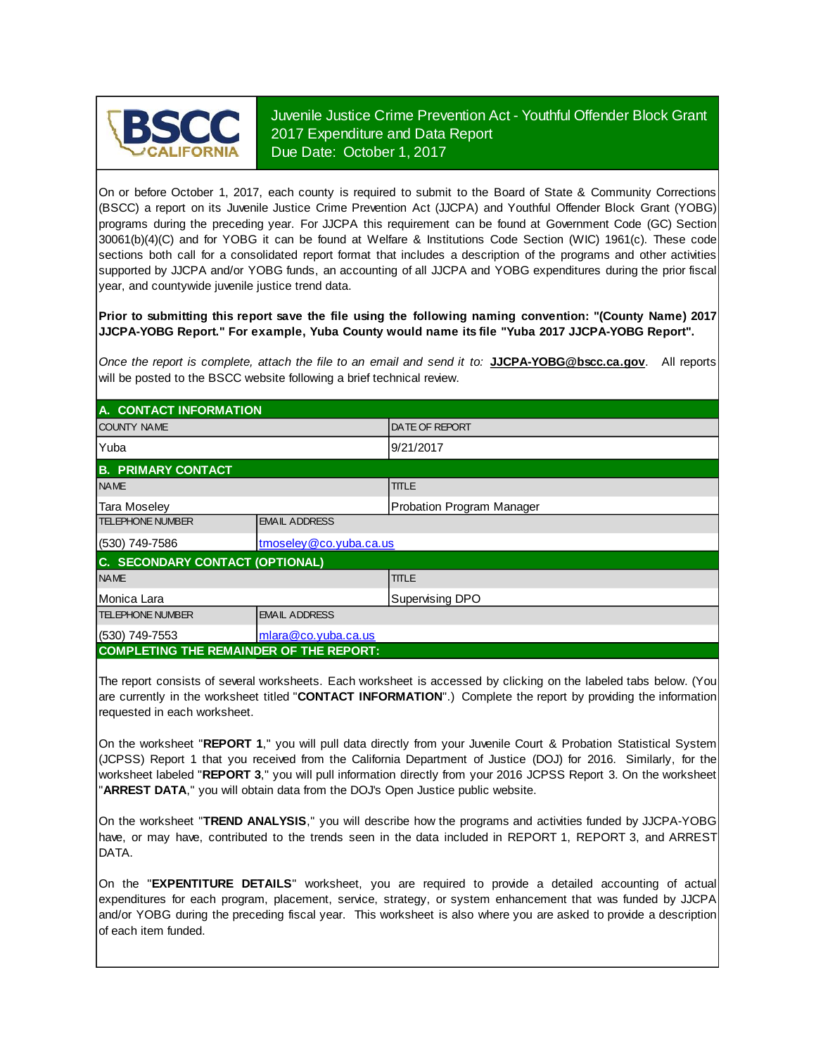

Juvenile Justice Crime Prevention Act - Youthful Offender Block Grant 2017 Expenditure and Data Report Due Date: October 1, 2017

On or before October 1, 2017, each county is required to submit to the Board of State & Community Corrections (BSCC) <sup>a</sup> report on its Juvenile Justice Crime Prevention Act (JJCPA) and Youthful Offender Block Grant (YOBG) programs during the preceding year. For JJCPA this requirement can be found at Government Code (GC) Section 30061(b)(4)(C) and for YOBG it can be found at Welfare & Institutions Code Section (WIC) 1961(c). These code sections both call for <sup>a</sup> consolidated report format that includes <sup>a</sup> description of the programs and other activities supported by JJCPA and/or YOBG funds, an accounting of all JJCPA and YOBG expenditures during the prior fiscal year, and countywide juvenile justice trend data.

**Prior to submitting this report save the file using the following naming convention: "(County Name) 2017 JJCPA-YOBG Report." For example, Yuba County would name its file "Yuba 2017 JJCPA-YOBG Report".**

*Once the report is complete, attach the file t o an email and send it to:* **JJCPA-YOBG@bscc.ca.gov**. All reports will be posted to the BSCC website following a brief technical review.

| A. CONTACT INFORMATION                         |                        |                           |  |  |  |
|------------------------------------------------|------------------------|---------------------------|--|--|--|
| <b>COUNTY NAME</b>                             |                        | <b>DATE OF REPORT</b>     |  |  |  |
| Yuba                                           |                        | 9/21/2017                 |  |  |  |
| <b>B. PRIMARY CONTACT</b>                      |                        |                           |  |  |  |
| <b>NAME</b>                                    |                        | <b>TITLE</b>              |  |  |  |
| Tara Moseley                                   |                        | Probation Program Manager |  |  |  |
| <b>TELEPHONE NUMBER</b>                        | <b>EMAIL ADDRESS</b>   |                           |  |  |  |
| (530) 749-7586                                 | tmoseley@co.yuba.ca.us |                           |  |  |  |
| <b>C. SECONDARY CONTACT (OPTIONAL)</b>         |                        |                           |  |  |  |
| <b>NAME</b>                                    |                        | <b>TITLE</b>              |  |  |  |
| Monica Lara                                    |                        | Supervising DPO           |  |  |  |
| <b>TELEPHONE NUMBER</b>                        | <b>EMAIL ADDRESS</b>   |                           |  |  |  |
| $(530)$ 749-7553                               | mlara@co.yuba.ca.us    |                           |  |  |  |
| <b>COMPLETING THE REMAINDER OF THE REPORT:</b> |                        |                           |  |  |  |

The report consists of several worksheets. Each worksheet is accessed by clicking on the labeled tabs below. (You are currently in the worksheet titled "**CONTACT INFORMATION**".) Complete the report by providing the information requested in each worksheet.

On the worksheet "REPORT 1," you will pull data directly from your Juvenile Court & Probation Statistical System (JCPSS) Report 1 that you received from the California Department of Justice (DOJ) for 2016. Similarly, for the worksheet labeled "REPORT 3," you will pull information directly from your 2016 JCPSS Report 3. On the worksheet "**ARREST DATA**," you will obtain data from the DOJ's Open Justice public website.

On the worksheet "**TREND ANALYSIS**, " you will describe how the programs and activities funded by JJCPA-YOBG have, or may have, contributed to the trends seen in the data included in REPORT 1, REPORT 3, and ARREST DATA.

On the "EXPENTITURE DETAILS" worksheet, you are required to provide a detailed accounting of actual expenditures for each program, placement, service, strategy, or system enhancement that was funded by JJCPA and/or YOBG during the preceding fiscal year. This worksheet is also where you are asked to provide a description of each item funded.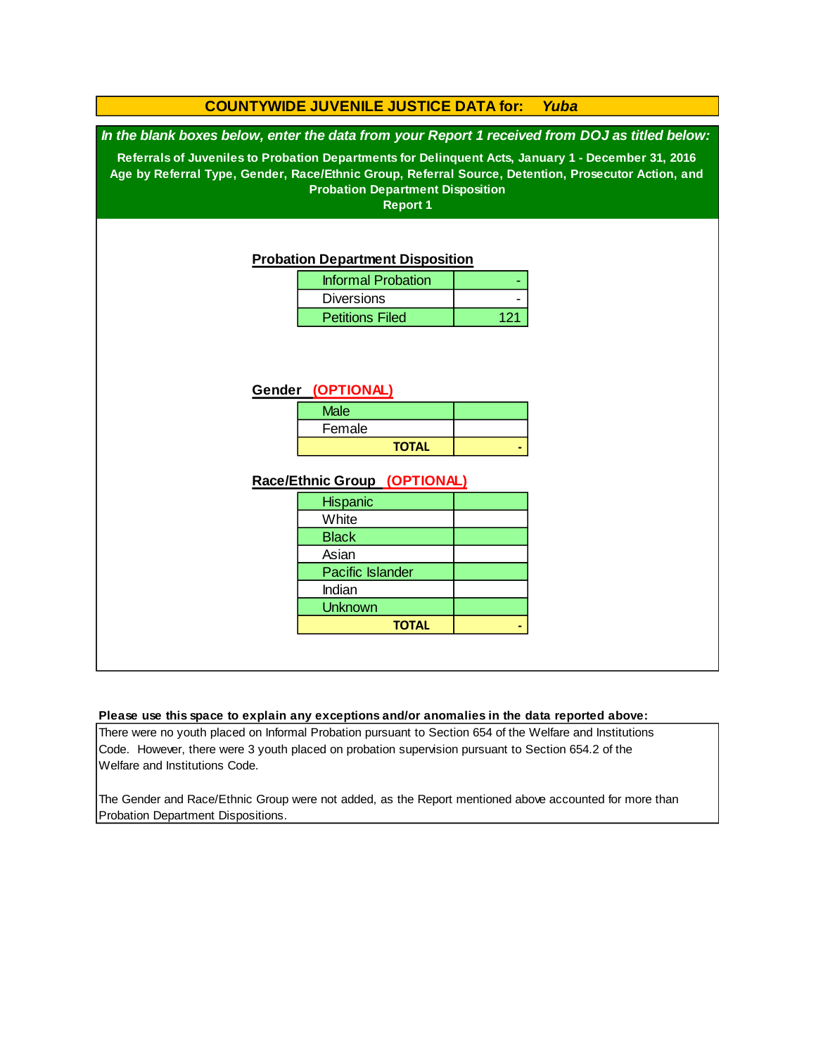|                                                                                                     | <b>COUNTYWIDE JUVENILE JUSTICE DATA for:</b>               |     | Yuba |  |  |  |  |  |
|-----------------------------------------------------------------------------------------------------|------------------------------------------------------------|-----|------|--|--|--|--|--|
| In the blank boxes below, enter the data from your Report 1 received from DOJ as titled below:      |                                                            |     |      |  |  |  |  |  |
| Referrals of Juveniles to Probation Departments for Delinquent Acts, January 1 - December 31, 2016  |                                                            |     |      |  |  |  |  |  |
| Age by Referral Type, Gender, Race/Ethnic Group, Referral Source, Detention, Prosecutor Action, and |                                                            |     |      |  |  |  |  |  |
|                                                                                                     | <b>Probation Department Disposition</b><br><b>Report 1</b> |     |      |  |  |  |  |  |
|                                                                                                     |                                                            |     |      |  |  |  |  |  |
|                                                                                                     |                                                            |     |      |  |  |  |  |  |
|                                                                                                     | <b>Probation Department Disposition</b>                    |     |      |  |  |  |  |  |
|                                                                                                     | <b>Informal Probation</b>                                  |     |      |  |  |  |  |  |
|                                                                                                     | <b>Diversions</b>                                          |     |      |  |  |  |  |  |
|                                                                                                     | <b>Petitions Filed</b>                                     | 121 |      |  |  |  |  |  |
|                                                                                                     |                                                            |     |      |  |  |  |  |  |
|                                                                                                     |                                                            |     |      |  |  |  |  |  |
|                                                                                                     | Gender (OPTIONAL)                                          |     |      |  |  |  |  |  |
|                                                                                                     | <b>Male</b>                                                |     |      |  |  |  |  |  |
|                                                                                                     | Female                                                     |     |      |  |  |  |  |  |
|                                                                                                     | <b>TOTAL</b>                                               |     |      |  |  |  |  |  |
|                                                                                                     |                                                            |     |      |  |  |  |  |  |
|                                                                                                     | Race/Ethnic Group (OPTIONAL)                               |     |      |  |  |  |  |  |
|                                                                                                     | <b>Hispanic</b>                                            |     |      |  |  |  |  |  |
|                                                                                                     | White                                                      |     |      |  |  |  |  |  |
|                                                                                                     | <b>Black</b>                                               |     |      |  |  |  |  |  |
|                                                                                                     | Asian                                                      |     |      |  |  |  |  |  |
|                                                                                                     | Pacific Islander<br>Indian                                 |     |      |  |  |  |  |  |
|                                                                                                     | <b>Unknown</b>                                             |     |      |  |  |  |  |  |
| <b>TOTAL</b>                                                                                        |                                                            |     |      |  |  |  |  |  |
|                                                                                                     |                                                            |     |      |  |  |  |  |  |

#### **Please use this space to explain any exceptions and/or anomalies in the data reported above:**

There were no youth placed on Informal Probation pursuant to Section 654 of the Welfare and Institutions Code. However, there were 3 youth placed on probation supervision pursuant to Section 654.2 of the Welfare and Institutions Code.

The Gender and Race/Ethnic Group were not added, as the Report mentioned above accounted for more than Probation Department Dispositions.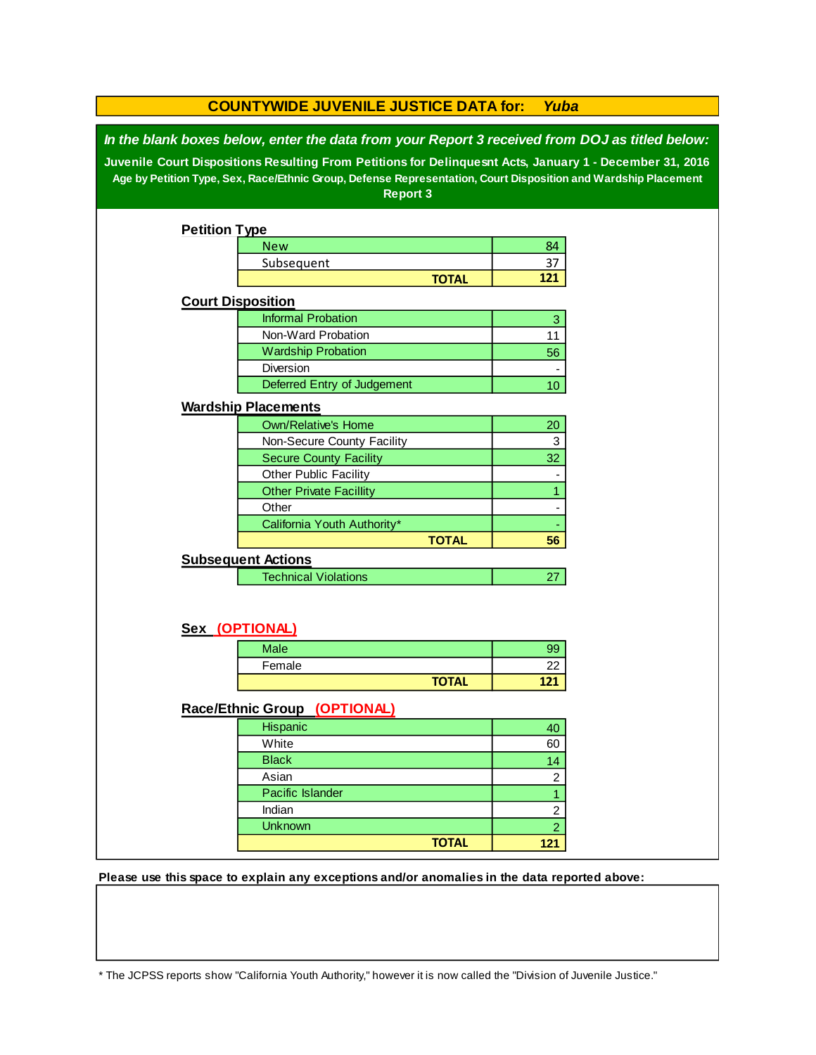|                                                                                                                                                                                                                                                                                                                                                 | <b>COUNTYWIDE JUVENILE JUSTICE DATA for:</b><br>Yuba |              |                |  |  |  |
|-------------------------------------------------------------------------------------------------------------------------------------------------------------------------------------------------------------------------------------------------------------------------------------------------------------------------------------------------|------------------------------------------------------|--------------|----------------|--|--|--|
| In the blank boxes below, enter the data from your Report 3 received from DOJ as titled below:<br>Juvenile Court Dispositions Resulting From Petitions for Delinquesnt Acts, January 1 - December 31, 2016<br>Age by Petition Type, Sex, Race/Ethnic Group, Defense Representation, Court Disposition and Wardship Placement<br><b>Report 3</b> |                                                      |              |                |  |  |  |
|                                                                                                                                                                                                                                                                                                                                                 |                                                      |              |                |  |  |  |
| <b>Petition Type</b>                                                                                                                                                                                                                                                                                                                            |                                                      |              |                |  |  |  |
|                                                                                                                                                                                                                                                                                                                                                 | <b>New</b>                                           |              | 84             |  |  |  |
|                                                                                                                                                                                                                                                                                                                                                 | Subsequent                                           |              | 37             |  |  |  |
|                                                                                                                                                                                                                                                                                                                                                 |                                                      | <b>TOTAL</b> | 121            |  |  |  |
|                                                                                                                                                                                                                                                                                                                                                 | <b>Court Disposition</b>                             |              |                |  |  |  |
|                                                                                                                                                                                                                                                                                                                                                 | <b>Informal Probation</b>                            |              | 3              |  |  |  |
|                                                                                                                                                                                                                                                                                                                                                 | Non-Ward Probation                                   |              | 11             |  |  |  |
|                                                                                                                                                                                                                                                                                                                                                 | <b>Wardship Probation</b>                            |              | 56             |  |  |  |
|                                                                                                                                                                                                                                                                                                                                                 | Diversion                                            |              |                |  |  |  |
|                                                                                                                                                                                                                                                                                                                                                 | Deferred Entry of Judgement                          |              | 10             |  |  |  |
|                                                                                                                                                                                                                                                                                                                                                 | <b>Wardship Placements</b>                           |              |                |  |  |  |
|                                                                                                                                                                                                                                                                                                                                                 | <b>Own/Relative's Home</b>                           |              | 20             |  |  |  |
|                                                                                                                                                                                                                                                                                                                                                 | Non-Secure County Facility                           |              | 3              |  |  |  |
|                                                                                                                                                                                                                                                                                                                                                 | <b>Secure County Facility</b>                        |              | 32             |  |  |  |
|                                                                                                                                                                                                                                                                                                                                                 | Other Public Facility                                |              |                |  |  |  |
|                                                                                                                                                                                                                                                                                                                                                 | <b>Other Private Facillity</b>                       |              | $\mathbf{1}$   |  |  |  |
|                                                                                                                                                                                                                                                                                                                                                 | Other                                                |              |                |  |  |  |
|                                                                                                                                                                                                                                                                                                                                                 | California Youth Authority*                          |              |                |  |  |  |
|                                                                                                                                                                                                                                                                                                                                                 |                                                      | <b>TOTAL</b> | 56             |  |  |  |
|                                                                                                                                                                                                                                                                                                                                                 | <b>Subsequent Actions</b>                            |              |                |  |  |  |
|                                                                                                                                                                                                                                                                                                                                                 | <b>Technical Violations</b>                          |              | 27             |  |  |  |
|                                                                                                                                                                                                                                                                                                                                                 |                                                      |              |                |  |  |  |
|                                                                                                                                                                                                                                                                                                                                                 | Sex (OPTIONAL)                                       |              |                |  |  |  |
|                                                                                                                                                                                                                                                                                                                                                 | <b>Male</b>                                          |              | 99             |  |  |  |
|                                                                                                                                                                                                                                                                                                                                                 | Female                                               |              | 22             |  |  |  |
|                                                                                                                                                                                                                                                                                                                                                 |                                                      | <b>TOTAL</b> | 121            |  |  |  |
|                                                                                                                                                                                                                                                                                                                                                 | Race/Ethnic Group (OPTIONAL)                         |              |                |  |  |  |
|                                                                                                                                                                                                                                                                                                                                                 | Hispanic                                             |              | 40             |  |  |  |
|                                                                                                                                                                                                                                                                                                                                                 | White                                                |              | 60             |  |  |  |
|                                                                                                                                                                                                                                                                                                                                                 | <b>Black</b>                                         |              | 14             |  |  |  |
|                                                                                                                                                                                                                                                                                                                                                 | Asian                                                |              | $\overline{c}$ |  |  |  |
|                                                                                                                                                                                                                                                                                                                                                 | Pacific Islander                                     |              | $\overline{1}$ |  |  |  |
|                                                                                                                                                                                                                                                                                                                                                 | Indian                                               |              | $\overline{c}$ |  |  |  |
|                                                                                                                                                                                                                                                                                                                                                 | <b>Unknown</b>                                       |              | $\overline{2}$ |  |  |  |
|                                                                                                                                                                                                                                                                                                                                                 |                                                      | <b>TOTAL</b> | 121            |  |  |  |
|                                                                                                                                                                                                                                                                                                                                                 |                                                      |              |                |  |  |  |

**Please use this space to explain any exceptions and/or anomalies in the data reported above:** 

\* The JCPSS reports show "California Youth Authority," however it is now called the "Division of Juvenile Justice."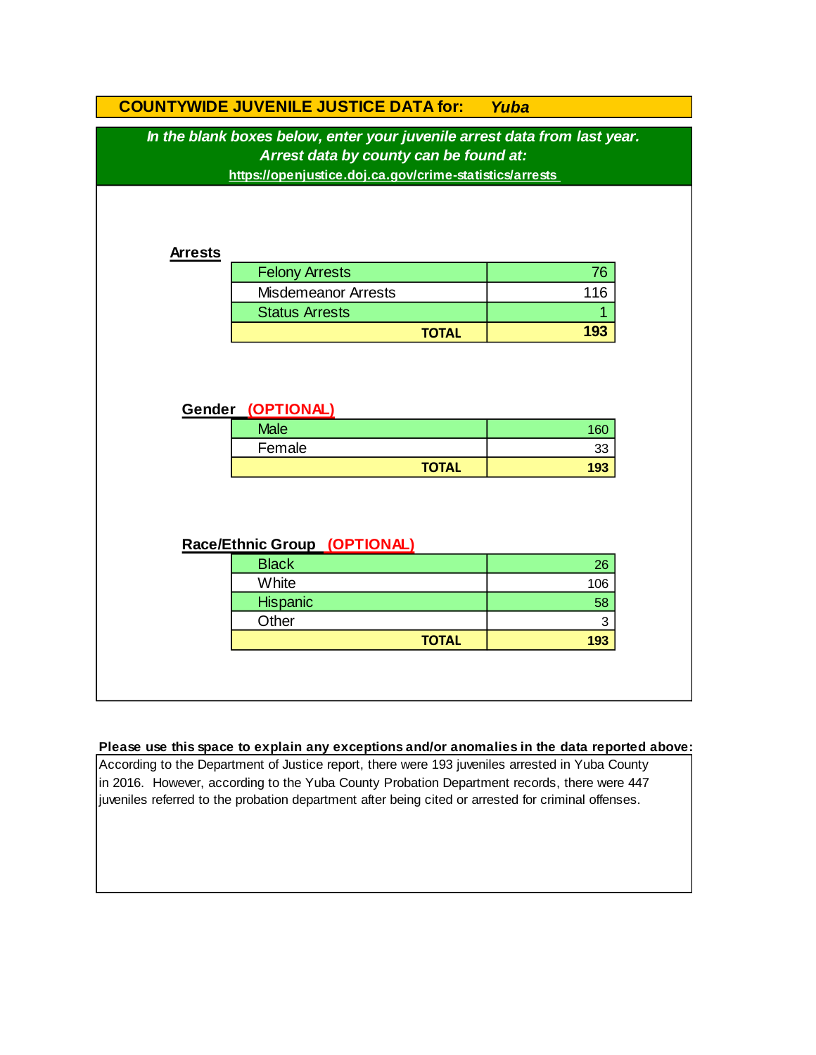|                              | <b>COUNTYWIDE JUVENILE JUSTICE DATA for:</b>                                                                                                                                   | Yuba      |  |  |  |  |
|------------------------------|--------------------------------------------------------------------------------------------------------------------------------------------------------------------------------|-----------|--|--|--|--|
|                              | In the blank boxes below, enter your juvenile arrest data from last year.<br>Arrest data by county can be found at:<br>https://openjustice.doj.ca.gov/crime-statistics/arrests |           |  |  |  |  |
| <b>Arrests</b>               |                                                                                                                                                                                |           |  |  |  |  |
|                              | <b>Felony Arrests</b>                                                                                                                                                          | 76        |  |  |  |  |
|                              | <b>Misdemeanor Arrests</b>                                                                                                                                                     | 116       |  |  |  |  |
|                              | <b>Status Arrests</b>                                                                                                                                                          |           |  |  |  |  |
|                              | <b>TOTAL</b>                                                                                                                                                                   | 193       |  |  |  |  |
|                              | <b>Gender (OPTIONAL)</b><br><b>Male</b><br>Female                                                                                                                              | 160<br>33 |  |  |  |  |
|                              | <b>TOTAL</b>                                                                                                                                                                   | 193       |  |  |  |  |
| Race/Ethnic Group (OPTIONAL) |                                                                                                                                                                                |           |  |  |  |  |
|                              | <b>Black</b>                                                                                                                                                                   | 26        |  |  |  |  |
|                              | White                                                                                                                                                                          | 106       |  |  |  |  |
|                              | Hispanic                                                                                                                                                                       | 58        |  |  |  |  |
|                              | Other                                                                                                                                                                          | 3         |  |  |  |  |
|                              | <b>TOTAL</b>                                                                                                                                                                   | 193       |  |  |  |  |
|                              |                                                                                                                                                                                |           |  |  |  |  |

#### **Please use this space to explain any exceptions and/or anomalies in the data reported above:**

According to the Department of Justice report, there were 193 juveniles arrested in Yuba County in 2016. However, according to the Yuba County Probation Department records, there were 447 juveniles referred to the probation department after being cited or arrested for criminal offenses.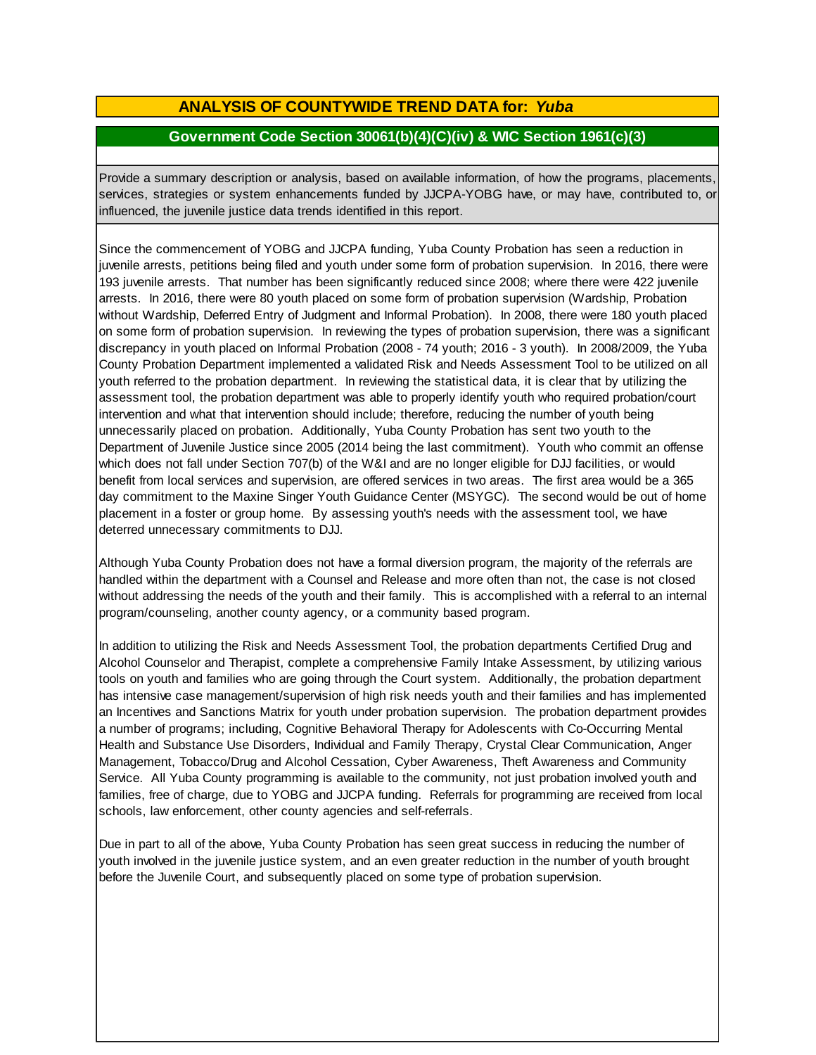### **ANALYSIS OF COUNTYWIDE TREND DATA for:** *Yuba*

### **Government Code Section 30061(b)(4)(C)(iv) & WIC Section 1961(c)(3)**

Provide <sup>a</sup> summary description or analysis, based on available information, of how the programs, placements, services, strategies or system enhancements funded by JJCPA-YOBG have, or may have, contributed to, or influenced, the juvenile justice data trends identified in this report.

Since the commencement of YOBG and JJCPA funding, Yuba County Probation has seen a reduction in juvenile arrests, petitions being filed and youth under some form of probation supervision. In 2016, there were 193 juvenile arrests. That number has been significantly reduced since 2008; where there were 422 juvenile arrests. In 2016, there were 80 youth placed on some form of probation supervision (Wardship, Probation without Wardship, Deferred Entry of Judgment and Informal Probation). In 2008, there were 180 youth placed on some form of probation supervision. In reviewing the types of probation supervision, there was a significant discrepancy in youth placed on Informal Probation (2008 - 74 youth; 2016 - 3 youth). In 2008/2009, the Yuba County Probation Department implemented a validated Risk and Needs Assessment Tool to be utilized on all youth referred to the probation department. In reviewing the statistical data, it is clear that by utilizing the assessment tool, the probation department was able to properly identify youth who required probation/court intervention and what that intervention should include; therefore, reducing the number of youth being unnecessarily placed on probation. Additionally, Yuba County Probation has sent two youth to the Department of Juvenile Justice since 2005 (2014 being the last commitment). Youth who commit an offense which does not fall under Section 707(b) of the W&I and are no longer eligible for DJJ facilities, or would benefit from local services and supervision, are offered services in two areas. The first area would be a 365 day commitment to the Maxine Singer Youth Guidance Center (MSYGC). The second would be out of home placement in a foster or group home. By assessing youth's needs with the assessment tool, we have deterred unnecessary commitments to DJJ.

Although Yuba County Probation does not have a formal diversion program, the majority of the referrals are handled within the department with a Counsel and Release and more often than not, the case is not closed without addressing the needs of the youth and their family. This is accomplished with a referral to an internal program/counseling, another county agency, or a community based program.

In addition to utilizing the Risk and Needs Assessment Tool, the probation departments Certified Drug and Alcohol Counselor and Therapist, complete a comprehensive Family Intake Assessment, by utilizing various tools on youth and families who are going through the Court system. Additionally, the probation department has intensive case management/supervision of high risk needs youth and their families and has implemented an Incentives and Sanctions Matrix for youth under probation supervision. The probation department provides a number of programs; including, Cognitive Behavioral Therapy for Adolescents with Co-Occurring Mental Health and Substance Use Disorders, Individual and Family Therapy, Crystal Clear Communication, Anger Management, Tobacco/Drug and Alcohol Cessation, Cyber Awareness, Theft Awareness and Community Service. All Yuba County programming is available to the community, not just probation involved youth and families, free of charge, due to YOBG and JJCPA funding. Referrals for programming are received from local schools, law enforcement, other county agencies and self-referrals.

Due in part to all of the above, Yuba County Probation has seen great success in reducing the number of youth involved in the juvenile justice system, and an even greater reduction in the number of youth brought before the Juvenile Court, and subsequently placed on some type of probation supervision.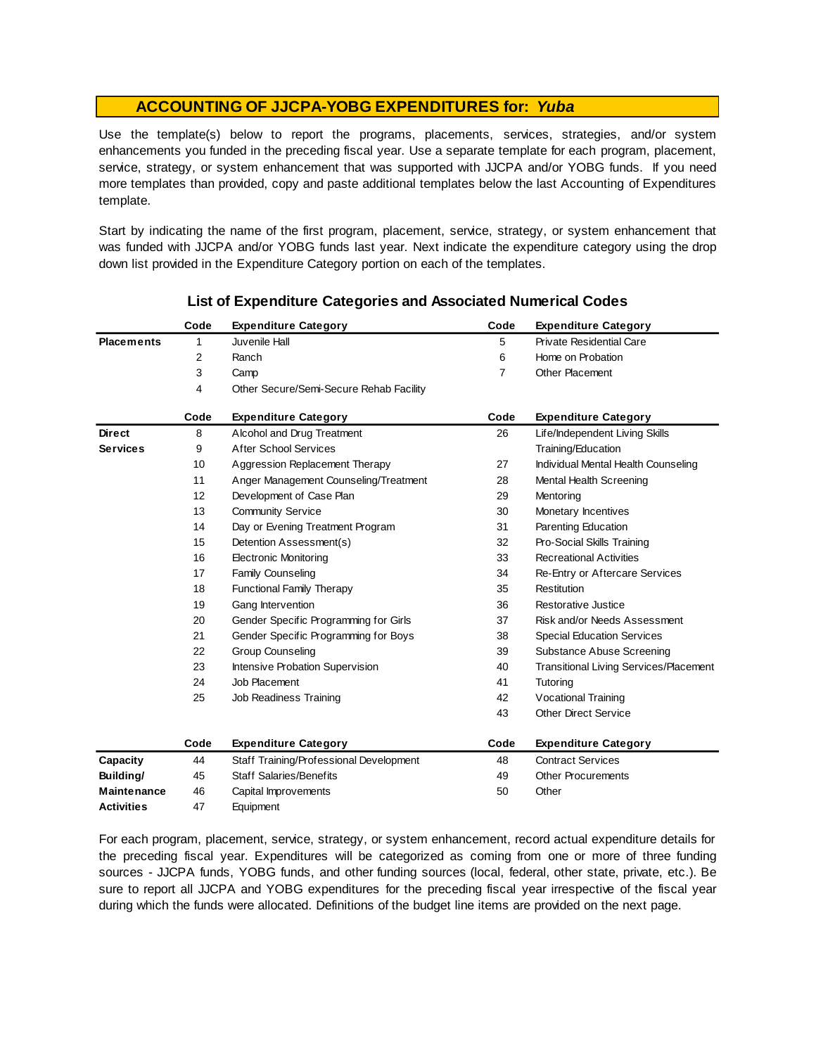Use the template(s) below to report the programs, placements, services, strategies, and/or system enhancements you funded in the preceding fiscal year. Use <sup>a</sup> separate template for each program, placement, service, strategy, or system enhancement that was supported with JJCPA and/or YOBG funds. If you need more templates than provided, copy and paste additional templates below the last Accounting of Expenditures template.

Start by indicating the name of the first program, placement, service, strategy, or system enhancement that was funded with JJCPA and/or YOBG funds last year. Next indicate the expenditure category using the drop down list provided in the Expenditure Category portion on each of the templates.

|                    | Code | <b>Expenditure Category</b>             | Code           | <b>Expenditure Category</b>                   |
|--------------------|------|-----------------------------------------|----------------|-----------------------------------------------|
| <b>Placements</b>  | 1    | Juvenile Hall                           | 5              | <b>Private Residential Care</b>               |
|                    | 2    | Ranch                                   | 6              | Home on Probation                             |
|                    | 3    | Camp                                    | $\overline{7}$ | <b>Other Placement</b>                        |
|                    | 4    | Other Secure/Semi-Secure Rehab Facility |                |                                               |
|                    | Code | <b>Expenditure Category</b>             | Code           | <b>Expenditure Category</b>                   |
| <b>Direct</b>      | 8    | Alcohol and Drug Treatment              | 26             | Life/Independent Living Skills                |
| <b>Services</b>    | 9    | <b>After School Services</b>            |                | Training/Education                            |
|                    | 10   | Aggression Replacement Therapy          | 27             | Individual Mental Health Counseling           |
|                    | 11   | Anger Management Counseling/Treatment   | 28             | Mental Health Screening                       |
|                    | 12   | Development of Case Plan                | 29             | Mentoring                                     |
|                    | 13   | <b>Community Service</b>                | 30             | Monetary Incentives                           |
|                    | 14   | Day or Evening Treatment Program        | 31             | Parenting Education                           |
|                    | 15   | Detention Assessment(s)                 | 32             | Pro-Social Skills Training                    |
|                    | 16   | <b>Electronic Monitoring</b>            | 33             | <b>Recreational Activities</b>                |
|                    | 17   | <b>Family Counseling</b>                | 34             | Re-Entry or Aftercare Services                |
|                    | 18   | <b>Functional Family Therapy</b>        | 35             | Restitution                                   |
|                    | 19   | Gang Intervention                       | 36             | Restorative Justice                           |
|                    | 20   | Gender Specific Programming for Girls   | 37             | Risk and/or Needs Assessment                  |
|                    | 21   | Gender Specific Programming for Boys    | 38             | <b>Special Education Services</b>             |
|                    | 22   | <b>Group Counseling</b>                 | 39             | Substance Abuse Screening                     |
|                    | 23   | Intensive Probation Supervision         | 40             | <b>Transitional Living Services/Placement</b> |
|                    | 24   | Job Placement                           | 41             | Tutoring                                      |
|                    | 25   | Job Readiness Training                  | 42             | Vocational Training                           |
|                    |      |                                         | 43             | <b>Other Direct Service</b>                   |
|                    | Code | <b>Expenditure Category</b>             | Code           | <b>Expenditure Category</b>                   |
| Capacity           | 44   | Staff Training/Professional Development | 48             | <b>Contract Services</b>                      |
| Building/          | 45   | <b>Staff Salaries/Benefits</b>          | 49             | <b>Other Procurements</b>                     |
| <b>Maintenance</b> | 46   | Capital Improvements                    | 50             | Other                                         |
| <b>Activities</b>  | 47   | Equipment                               |                |                                               |

### **List of Expenditure Categories and Associated Numerical Codes**

For each program, placement, service, strategy, or system enhancement, record actual expenditure details for the preceding fiscal year. Expenditures will be categorized as coming from one or more of three funding sources - JJCPA funds, YOBG funds, and other funding sources (local, federal, other state, private, etc.). Be sure to report all JJCPA and YOBG expenditures for the preceding fiscal year irrespective of the fiscal year during which the funds were allocated. Definitions of the budget line items are provided on the next page.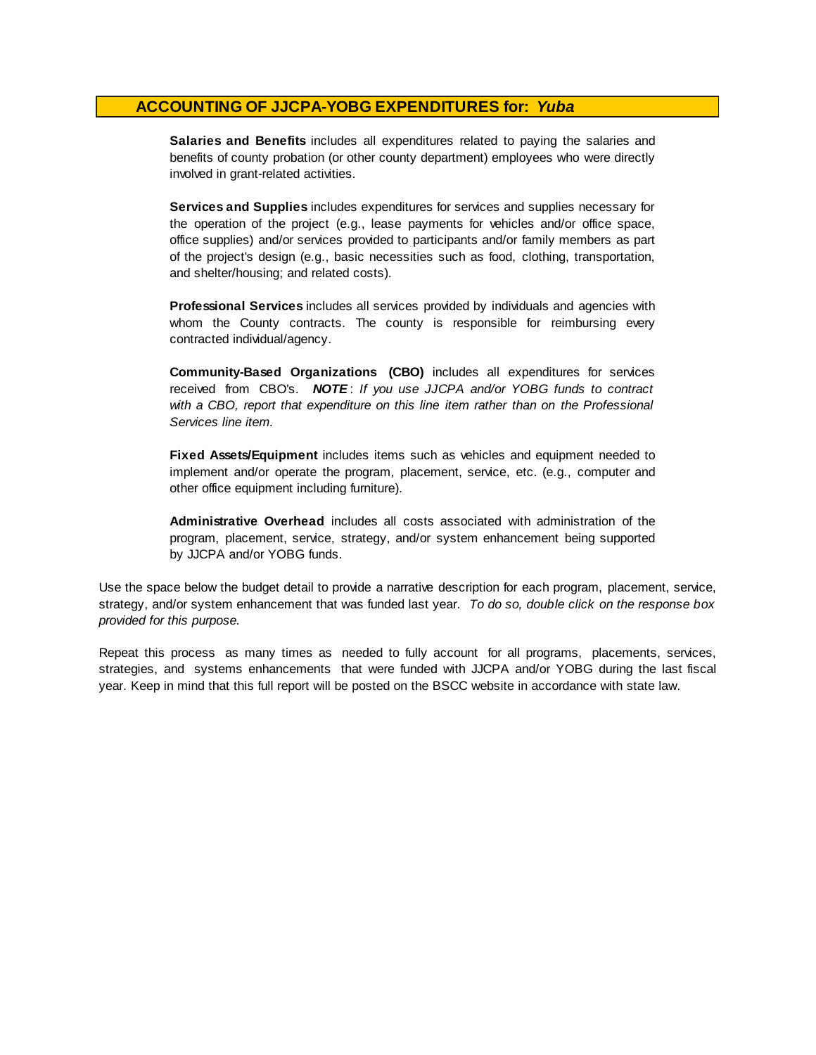**Salaries and Benefits** includes all expenditures related to paying the salaries and benefits of county probation (or other county department) employees who were directly involved in grant-related activities.

**Services and Supplies** includes expenditures for services and supplies necessary for the operation of the project (e.g., lease payments for vehicles and/or office space, office supplies) and/or services provided to participants and/or family members as part of the project's design (e.g., basic necessities such as food, clothing, transportation, and shelter/housing; and related costs).

**Professional Services** includes all services provided by individuals and agencies with whom the County contracts. The county is responsible for reimbursing every contracted individual/agency.

**Community-Based Organizations (CBO)** includes all expenditures for services received from CBO's. *NOTE* : *I f you use JJCPA and/or YOBG funds t o contract with <sup>a</sup> CBO, report that expenditure on this line item rather than on the Professional Services line item.*

**Fixed Assets/Equipment** includes items such as vehicles and equipment needed to implement and/or operate the program, placement, service, etc. (e.g., computer and other office equipment including furniture).

**Administrative Overhead** includes all costs associated with administration of the program, placement, service, strategy, and/or system enhancement being supported by JJCPA and/or YOBG funds.

Use the space below the budget detail to provide a narrative description for each program, placement, service, strategy, and/or system enhancement that was funded last year. *To do so, double click on the response box provided for this purpose.* 

Repeat this process as many times as needed to fully account for all programs, placements, services, strategies, and systems enhancements that were funded with JJCPA and/or YOBG during the last fiscal year. Keep in mind that this full report will be posted on the BSCC website in accordance with state law.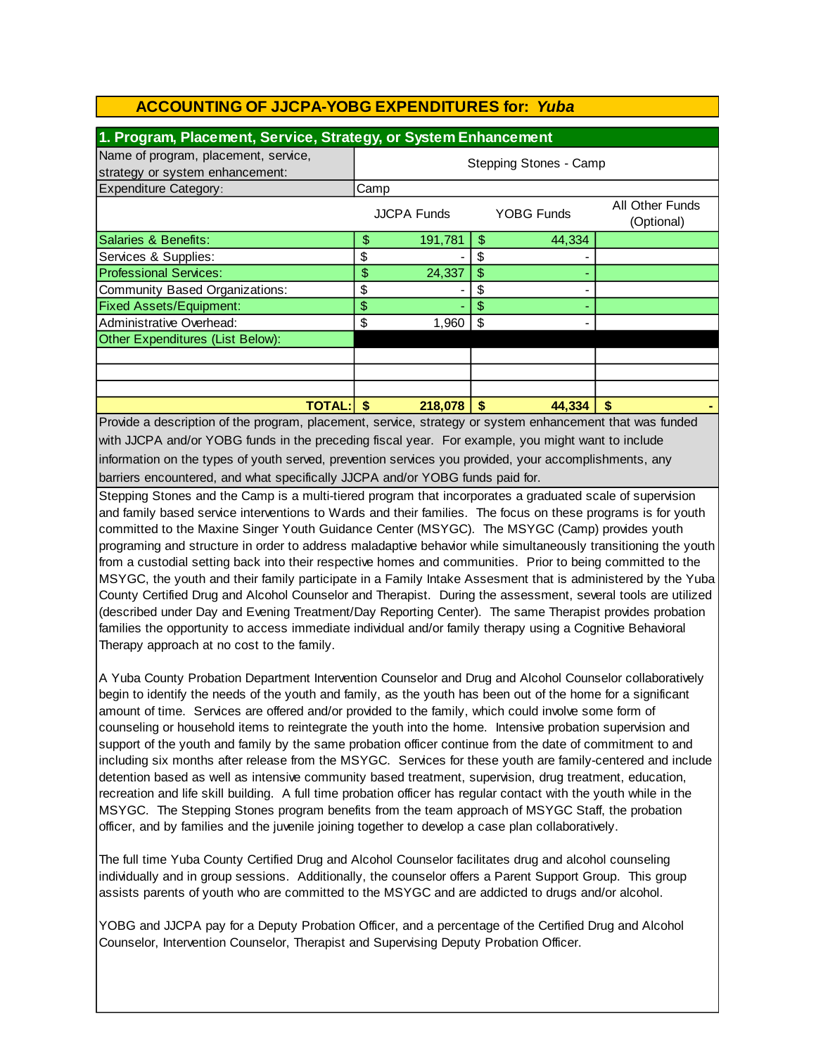| 1. Program, Placement, Service, Strategy, or System Enhancement         |                        |                    |    |                   |                               |  |
|-------------------------------------------------------------------------|------------------------|--------------------|----|-------------------|-------------------------------|--|
| Name of program, placement, service,<br>strategy or system enhancement: | Stepping Stones - Camp |                    |    |                   |                               |  |
| <b>Expenditure Category:</b>                                            | Camp                   |                    |    |                   |                               |  |
|                                                                         |                        | <b>JJCPA Funds</b> |    | <b>YOBG Funds</b> | All Other Funds<br>(Optional) |  |
| Salaries & Benefits:                                                    | \$                     | 191,781            | \$ | 44,334            |                               |  |
| Services & Supplies:                                                    | \$                     |                    | \$ |                   |                               |  |
| <b>Professional Services:</b>                                           | \$                     | 24,337             | \$ |                   |                               |  |
| Community Based Organizations:                                          | \$                     |                    | \$ |                   |                               |  |
| <b>Fixed Assets/Equipment:</b>                                          | \$                     |                    | \$ |                   |                               |  |
| Administrative Overhead:                                                | \$                     | 1,960              | \$ |                   |                               |  |
| Other Expenditures (List Below):                                        |                        |                    |    |                   |                               |  |
|                                                                         |                        |                    |    |                   |                               |  |
|                                                                         |                        |                    |    |                   |                               |  |
|                                                                         |                        |                    |    |                   |                               |  |
| <b>TOTAL:</b> I                                                         | \$                     | 218,078            | \$ | 44,334            | \$                            |  |

Provide a description of the program, placement, service, strategy or system enhancement that was funded with JJCPA and/or YOBG funds in the preceding fiscal year. For example, you might want to include information on the types of youth served, prevention services you provided, your accomplishments, any barriers encountered, and what specifically JJCPA and/or YOBG funds paid for.

Stepping Stones and the Camp is a multi-tiered program that incorporates a graduated scale of supervision and family based service interventions to Wards and their families. The focus on these programs is for youth committed to the Maxine Singer Youth Guidance Center (MSYGC). The MSYGC (Camp) provides youth programing and structure in order to address maladaptive behavior while simultaneously transitioning the youth from a custodial setting back into their respective homes and communities. Prior to being committed to the MSYGC, the youth and their family participate in a Family Intake Assesment that is administered by the Yuba County Certified Drug and Alcohol Counselor and Therapist. During the assessment, several tools are utilized (described under Day and Evening Treatment/Day Reporting Center). The same Therapist provides probation families the opportunity to access immediate individual and/or family therapy using a Cognitive Behavioral Therapy approach at no cost to the family.

A Yuba County Probation Department Intervention Counselor and Drug and Alcohol Counselor collaboratively begin to identify the needs of the youth and family, as the youth has been out of the home for a significant amount of time. Services are offered and/or provided to the family, which could involve some form of counseling or household items to reintegrate the youth into the home. Intensive probation supervision and support of the youth and family by the same probation officer continue from the date of commitment to and including six months after release from the MSYGC. Services for these youth are family-centered and include detention based as well as intensive community based treatment, supervision, drug treatment, education, recreation and life skill building. A full time probation officer has regular contact with the youth while in the MSYGC. The Stepping Stones program benefits from the team approach of MSYGC Staff, the probation officer, and by families and the juvenile joining together to develop a case plan collaboratively.

The full time Yuba County Certified Drug and Alcohol Counselor facilitates drug and alcohol counseling individually and in group sessions. Additionally, the counselor offers a Parent Support Group. This group assists parents of youth who are committed to the MSYGC and are addicted to drugs and/or alcohol.

YOBG and JJCPA pay for a Deputy Probation Officer, and a percentage of the Certified Drug and Alcohol Counselor, Intervention Counselor, Therapist and Supervising Deputy Probation Officer.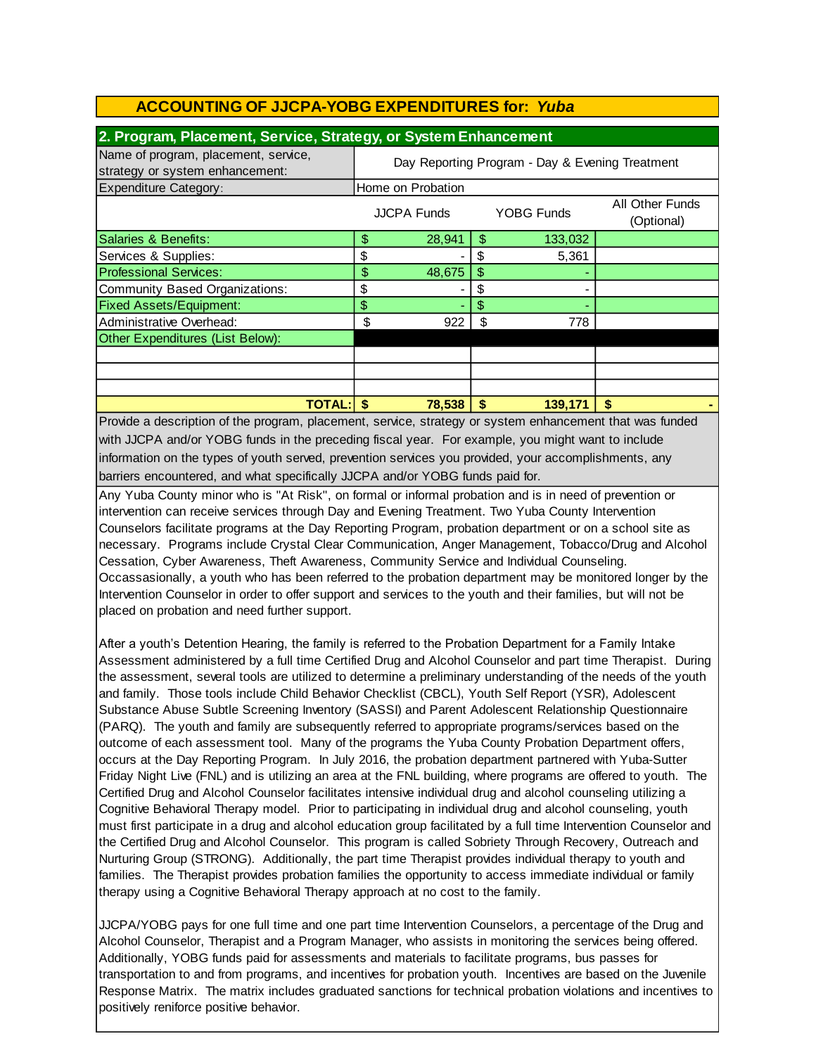| 2. Program, Placement, Service, Strategy, or System Enhancement         |                                                 |                    |               |            |                               |  |
|-------------------------------------------------------------------------|-------------------------------------------------|--------------------|---------------|------------|-------------------------------|--|
| Name of program, placement, service,<br>strategy or system enhancement: | Day Reporting Program - Day & Evening Treatment |                    |               |            |                               |  |
| <b>Expenditure Category:</b>                                            | Home on Probation                               |                    |               |            |                               |  |
|                                                                         |                                                 | <b>JJCPA Funds</b> |               | YOBG Funds | All Other Funds<br>(Optional) |  |
| Salaries & Benefits:                                                    | \$                                              | 28,941             | \$            | 133,032    |                               |  |
| Services & Supplies:                                                    | \$                                              |                    | S             | 5,361      |                               |  |
| <b>Professional Services:</b>                                           | \$                                              | 48,675             | $\frac{1}{2}$ |            |                               |  |
| Community Based Organizations:                                          | \$                                              |                    | \$            |            |                               |  |
| <b>Fixed Assets/Equipment:</b>                                          | \$                                              |                    | \$            |            |                               |  |
| Administrative Overhead:                                                | \$                                              | 922                | \$            | 778        |                               |  |
| Other Expenditures (List Below):                                        |                                                 |                    |               |            |                               |  |
|                                                                         |                                                 |                    |               |            |                               |  |
|                                                                         |                                                 |                    |               |            |                               |  |
|                                                                         |                                                 |                    |               |            |                               |  |
| <b>TOTAL:I</b>                                                          | S                                               | 78,538             | S             | 139,171    | S                             |  |

information on the types of youth served, prevention services you provided, your accomplishments, any barriers encountered, and what specifically JJCPA and/or YOBG funds paid for. Provide a description of the program, placement, service, strategy or system enhancement that was funded with JJCPA and/or YOBG funds in the preceding fiscal year. For example, you might want to include

Any Yuba County minor who is "At Risk", on formal or informal probation and is in need of prevention or intervention can receive services through Day and Evening Treatment. Two Yuba County Intervention Counselors facilitate programs at the Day Reporting Program, probation department or on a school site as necessary. Programs include Crystal Clear Communication, Anger Management, Tobacco/Drug and Alcohol Cessation, Cyber Awareness, Theft Awareness, Community Service and Individual Counseling. Occassasionally, a youth who has been referred to the probation department may be monitored longer by the Intervention Counselor in order to offer support and services to the youth and their families, but will not be placed on probation and need further support.

After a youth's Detention Hearing, the family is referred to the Probation Department for a Family Intake Assessment administered by a full time Certified Drug and Alcohol Counselor and part time Therapist. During the assessment, several tools are utilized to determine a preliminary understanding of the needs of the youth and family. Those tools include Child Behavior Checklist (CBCL), Youth Self Report (YSR), Adolescent Substance Abuse Subtle Screening Inventory (SASSI) and Parent Adolescent Relationship Questionnaire (PARQ). The youth and family are subsequently referred to appropriate programs/services based on the outcome of each assessment tool. Many of the programs the Yuba County Probation Department offers, occurs at the Day Reporting Program. In July 2016, the probation department partnered with Yuba-Sutter Friday Night Live (FNL) and is utilizing an area at the FNL building, where programs are offered to youth. The Certified Drug and Alcohol Counselor facilitates intensive individual drug and alcohol counseling utilizing a Cognitive Behavioral Therapy model. Prior to participating in individual drug and alcohol counseling, youth must first participate in a drug and alcohol education group facilitated by a full time Intervention Counselor and the Certified Drug and Alcohol Counselor. This program is called Sobriety Through Recovery, Outreach and Nurturing Group (STRONG). Additionally, the part time Therapist provides individual therapy to youth and families. The Therapist provides probation families the opportunity to access immediate individual or family therapy using a Cognitive Behavioral Therapy approach at no cost to the family.

JJCPA/YOBG pays for one full time and one part time Intervention Counselors, a percentage of the Drug and Alcohol Counselor, Therapist and a Program Manager, who assists in monitoring the services being offered. Additionally, YOBG funds paid for assessments and materials to facilitate programs, bus passes for transportation to and from programs, and incentives for probation youth. Incentives are based on the Juvenile Response Matrix. The matrix includes graduated sanctions for technical probation violations and incentives to positively reniforce positive behavior.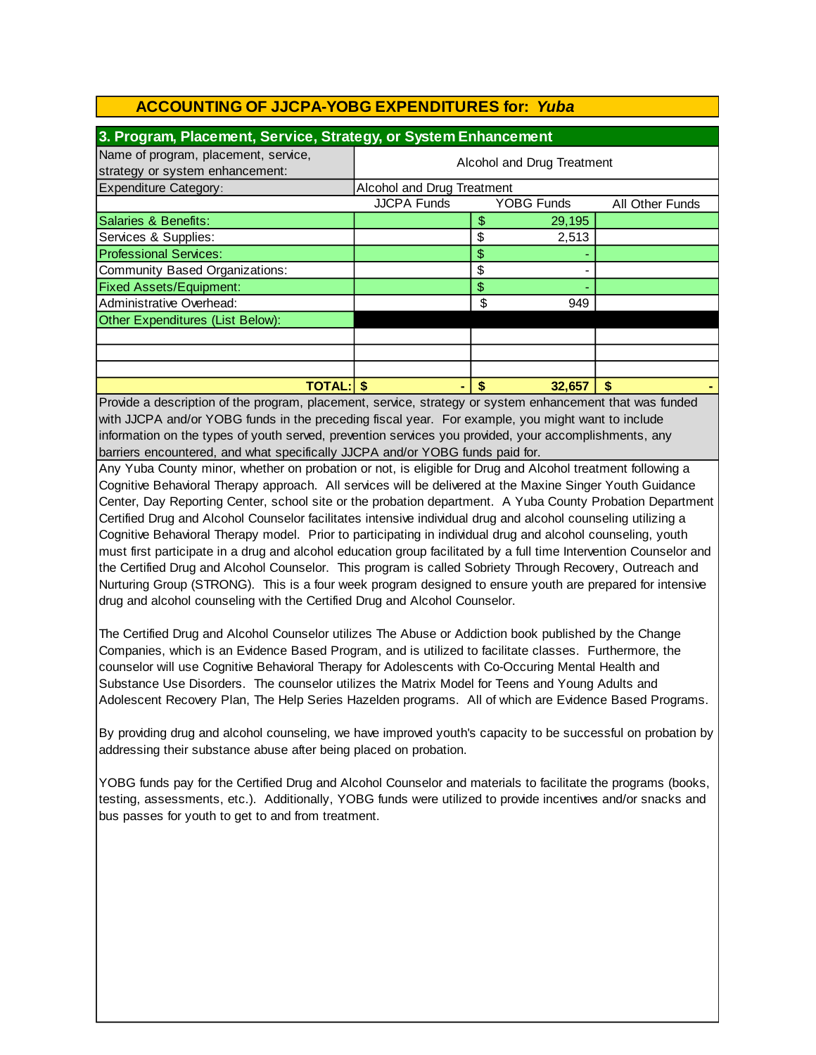| 3. Program, Placement, Service, Strategy, or System Enhancement         |                            |                            |            |                 |  |  |  |
|-------------------------------------------------------------------------|----------------------------|----------------------------|------------|-----------------|--|--|--|
| Name of program, placement, service,<br>strategy or system enhancement: | Alcohol and Drug Treatment |                            |            |                 |  |  |  |
| <b>Expenditure Category:</b>                                            |                            | Alcohol and Drug Treatment |            |                 |  |  |  |
|                                                                         | <b>JJCPA Funds</b>         |                            | YOBG Funds | All Other Funds |  |  |  |
| Salaries & Benefits:                                                    |                            | \$                         | 29,195     |                 |  |  |  |
| Services & Supplies:                                                    |                            |                            | 2,513      |                 |  |  |  |
| <b>Professional Services:</b>                                           |                            | \$                         |            |                 |  |  |  |
| Community Based Organizations:                                          |                            | \$                         |            |                 |  |  |  |
| <b>Fixed Assets/Equipment:</b>                                          |                            | \$                         |            |                 |  |  |  |
| Administrative Overhead:                                                |                            | \$                         | 949        |                 |  |  |  |
| Other Expenditures (List Below):                                        |                            |                            |            |                 |  |  |  |
|                                                                         |                            |                            |            |                 |  |  |  |
|                                                                         |                            |                            |            |                 |  |  |  |
|                                                                         |                            |                            |            |                 |  |  |  |
| <b>TOTAL:IS</b>                                                         |                            | S                          | 32,657     | S               |  |  |  |

information on the types of youth served, prevention services you provided, your accomplishments, any Provide a description of the program, placement, service, strategy or system enhancement that was funded with JJCPA and/or YOBG funds in the preceding fiscal year. For example, you might want to include barriers encountered, and what specifically JJCPA and/or YOBG funds paid for.

Any Yuba County minor, whether on probation or not, is eligible for Drug and Alcohol treatment following a Cognitive Behavioral Therapy approach. All services will be delivered at the Maxine Singer Youth Guidance Center, Day Reporting Center, school site or the probation department. A Yuba County Probation Department Certified Drug and Alcohol Counselor facilitates intensive individual drug and alcohol counseling utilizing a Cognitive Behavioral Therapy model. Prior to participating in individual drug and alcohol counseling, youth must first participate in a drug and alcohol education group facilitated by a full time Intervention Counselor and the Certified Drug and Alcohol Counselor. This program is called Sobriety Through Recovery, Outreach and Nurturing Group (STRONG). This is a four week program designed to ensure youth are prepared for intensive drug and alcohol counseling with the Certified Drug and Alcohol Counselor.

The Certified Drug and Alcohol Counselor utilizes The Abuse or Addiction book published by the Change Companies, which is an Evidence Based Program, and is utilized to facilitate classes. Furthermore, the counselor will use Cognitive Behavioral Therapy for Adolescents with Co-Occuring Mental Health and Substance Use Disorders. The counselor utilizes the Matrix Model for Teens and Young Adults and Adolescent Recovery Plan, The Help Series Hazelden programs. All of which are Evidence Based Programs.

By providing drug and alcohol counseling, we have improved youth's capacity to be successful on probation by addressing their substance abuse after being placed on probation.

YOBG funds pay for the Certified Drug and Alcohol Counselor and materials to facilitate the programs (books, testing, assessments, etc.). Additionally, YOBG funds were utilized to provide incentives and/or snacks and bus passes for youth to get to and from treatment.